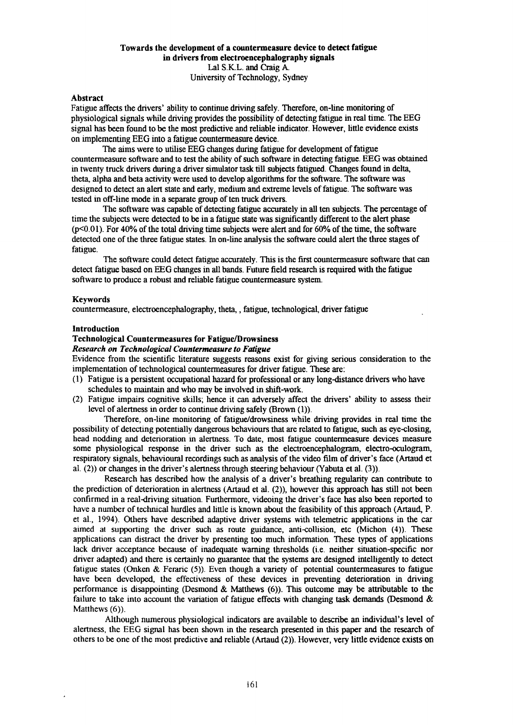## Towards the development of a countermeasure device to detect fatigue in drivers from electroencephalography signals Lal S.K.L. and Craig A University of Technology, Sydney

## Abstract

Fatigue affects the drivers' ability to continue driving safely. Therefore, on-line monitoring of physiological signals while driving provides the possibility of detecting fatigue in real time. The EEG signal has been found to be the most predictive and reliable indicator. However, little evidence exists on implementing EEG into a fatigue countermeasure device.

The aims were to utilise EEG changes during fatigue for development of fatigue countermeasure software and to test the ability of such software in detecting fatigue. EEG was obtained in twenty truck drivers during a driver simulator task till subjects fatigued. Changes found in delta, theta, alpha and beta activity were used to develop algorithms for the software. The software was designed to detect an alert state and early, medium and extreme levels offatigue. The software was tested in off-line mode in a separate group of ten truck drivers.

The software was capable of detecting fatigue accurately in all ten subjects. The percentage of time the subjects were detected to be in a fatigue state was significantly different to the alert phase (p<0.01). For 40% of the total driving time subjects were alert and for 60% of the time, the software detected one of the three fatigue states. In on-line analysis the software could alert the three stages of fatigue.

The software could detect fatigue accurately. This is the first countermeasure software that can detect fatigue based on EEG changes in all bands. Future field research is required with the fatigue software to produce a robust and reliable fatigue countermeasure system.

#### Keywords

countermeasure, electroencephalography, theta, , fatigue, technological, driver fatigue

## Introduction

## Technological Countermeasures for Fatigue/Drowsiness

*Research on Technological Countermeasure to Fatigue*

Evidence from the scientific literature suggests reasons exist for giving serious consideration to the implementation of technological countermeasures for driver fatigue. These are:

- (1) Fatigue is a persistent occupational hazard for professional or any long-distance drivers who have schedules to maintain and who may be involved in shift-work.
- (2) Fatigue impairs cognitive skills; hence it can adversely affect the drivers' ability to assess their level of alertness in order to continue driving safely (Brown (1)).

Therefore, on-line monitoring of fatigue/drowsiness while driving provides in real time the possibility of detecting potentially dangerous behaviours that are related to fatigue, such as eye-elosing, head nodding and deterioration in alertness. To date, most fatigue countermeasure devices measure some physiological response in the driver such as the electroencephalogram, electro-oculogram, respiratory signals, behavioural recordings such as analysis of the video film of driver's face (Artaud et al. (2)) or changes in the driver's alertness through steering behaviour (Yabuta et al. (3)).

Research has described how the analysis of a driver's breathing regularity can contribute to the prediction of deterioration in alertness (Artaud et al. (2)), however this approach has still not been confirmed in a real-driving situation. Furthermore, videoing the driver's face has also been reported to have a number of technical hurdles and little is known about the feasibility of this approach (Artaud, P. et al., 1994). Others have described adaptive driver systems with telemetric applications in the car aimed at supporting the driver such as route guidance, anti-collision, etc (Michon (4)). These applications can distract the driver by presenting too much information. These types of applications lack driver acceptance because of inadequate warning thresholds (i.e. neither situation-specific nor driver adapted) and there is certainly no guarantee that the systems are designed intelligently to detect fatigue states (Onken & Feraric (5)). Even though a variety of potential countermeasures to fatigue have been developed, the effectiveness of these devices in preventing deterioration in driving performance is disappointing (Desmond & Matthews (6)). This outcome may be attributable to the failure to take into account the variation of fatigue effects with changing task demands (Desmond & Matthews (6)).

Although numerous physiological indicators are available to describe an individual's level of alertness, the EEG signal has been shown in the research presented in this paper and the research of others to be one of the most predictive and reliable (Artaud (2)). However, very little evidence exists on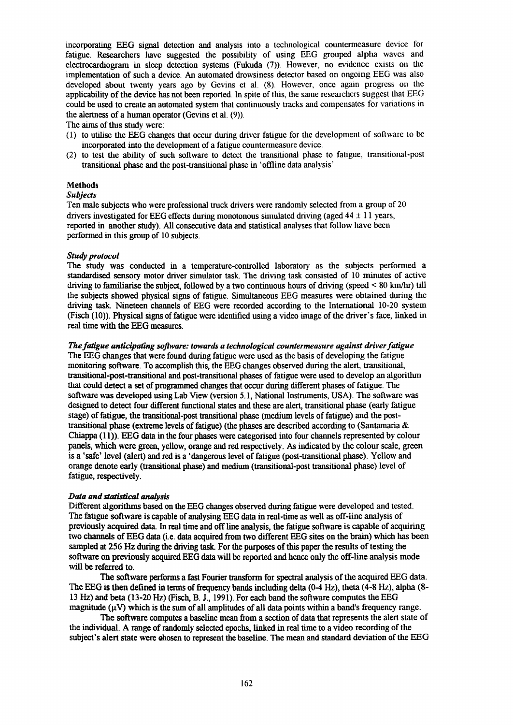incorporating EEG signal detection and analysis into a tcclmological countermeasure device for fatigue. Researchers have suggested the possibility of using EEG grouped alpha waves and electrocardiogram in sleep detection systems (Fukuda (7)). However, no evidence exists on the implementation of such a device. An automated drowsiness detector based on ongoing EEG was also developed about twenty years ago by Gevins et al. (8) However, once again progress on the applicability of the device has not been reported. In spite of this, the same researchers suggest that EEG could be used to create an automated system that continuously tracks and compensates for variations in the alertness of a human operator (Gevins et al. (9)).

The aims of this study were:

- (1) to utilise the EEG changes that occur during driver fatigue for the development of software to be incorporated into the development of a fatigue countermeasure device.
- (2) to test the ability of such software to detect the transitional phase to fatigue, transitional-post transitional phase and the post -transitional phase in 'offline data analysis' .

## **Methods**

## *Subjects*

Ten male subjects who were professional truck drivers were randomly selected from a group of 20 drivers investigated for EEG effects during monotonous simulated driving (aged  $44 \pm 11$  years, reported in another study). All consecutive data and statistical analyses that follow have been performed in this group of 10 subjects.

## *Study protocol*

The study was conducted in a temperature-controlled laboratory as the subjects performed a standardised sensory motor driver simulator task. The driving task consisted of 10 minutes of active driving to familiarise the subject, followed by a two continuous hours of driving (speed < 80 km/hr) till the subjects showed physical signs of fatigue. Simultaneous EEG measures were obtained during the driving task. Nineteen channels of EEG were recorded according to the International 10-20 system (Fisch (10». Physical signs offatigue were identified using a video image of the driver's face, linked in real time with the EEG measures.

#### *Thefatigue anticipating software: towards a technological countermeasure against driver fatigue*

The EEG changes that were found during fatigue were used as the basis of developing the fatigue monitoring software. To accomplish this, the EEG changes observed during the alert, transitional, transitional-post-transitional and post-transitional phases of fatigue were used to develop an algorithm that could detect a set of programmed changes that occur during different phases of fatigue. The software was developed using Lab View (version 5.1, National Instruments, USA). The software was designed to detect four different functional states and these are alert, transitional phase (early fatigue stage) of fatigue, the transitional-post transitional phase (medium levels of fatigue) and the posttransitional phase (extreme levels of fatigue) (the phases are described according to (Santamaria  $\&$ Chiappa (11». EEG data in the four phases were categorised into four channels represented by colour panels, which were green, yellow, orange and red respectively. As indicated by the colour scale, green is a 'safe' level (alert) and red is a 'dangerous level of fatigue (post-transitional phase). Yellow and orange denote early (transitional phase) and medium (transitional-post transitional phase) level of fatigue, respectively.

#### *Data and statistical analysis*

Different algorithms based on the EEG changes observed during fatigue were developed and tested. The fatigue software is capable of analysing EEG data in real-time as well as off-line analysis of previously acquired data. In real time and off line analysis, the fatigue software is capable of acquiring two channels of EEG data (i.e. data acquired from two different EEG sites on the brain) which has been sampled at 256 Hz during the driving task. For the purposes of this paper the results of testing the software on previously acquired EEG data will be reported and hence only the off-line analysis mode will be referred to.

The software performs a fast Fourier transform for spectral analysis of the acquired EEG data. The EEG is then defined in terms of frequency bands including delta (0-4 Hz), theta (4-8 Hz), alpha (8- 13 Hz) and beta (13-20 Hz) (Fisch, B. 1.,1991). For each band the software computes the EEG magnitude  $(\mu V)$  which is the sum of all amplitudes of all data points within a band's frequency range.

The software computes a baseline mean from a section of data that represents the alert state of the individual. A range of randomly selected epochs, linked in real time to a video recording of the subject's alert state were ehosen to represent the baseline. The mean and standard deviation of the EEG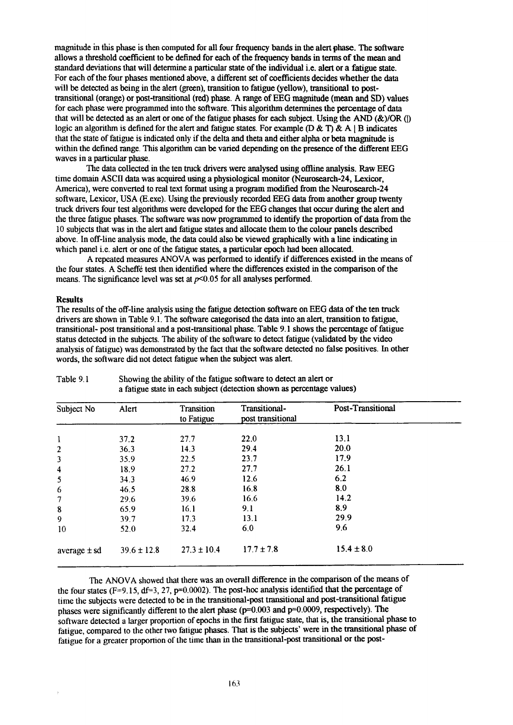magnitude in this phase is then computed for all four frequency bands in the alert phase. The software allows a threshold coefficient to be defined for each of the frequency bands in tenus of the mean and standard deviations that will determine a particular state of the individual i.e. alert or a fatigue state. For each of the four phases mentioned above, a different set of coefficients decides whether the data will be detected as being in the alert (green), transition to fatigue (yellow), transitional to posttransitional (orange) or post-transitional (red) phase. A range of EEG magnitude (mean and SD) values for each phase were programmed into the software. This algorithm determines the percentage of data that will be detected as an alert or one of the fatigue phases for each subject. Using the AND ( $&$ )/OR (I) logic an algorithm is defined for the alert and fatigue states. For example  $(D \& T) \& A \mid B$  indicates that the state of fatigue is indicated only if the delta and theta and either alpha or beta magnitude is within the defined range. This algorithm can be varied depending on the presence of the different EEG waves in a particular phase.

The data collected in the ten truck drivers were analysed using offline analysis. Raw EEG time domain ASCII data was acquired using a physiological monitor (Neurosearch-24, Lexicor, America), were converted to real text format using a program modified from the Neurosearch-24 software, Lexicor, USA (E.exe). Using the previously recorded EEG data from another group twenty truck drivers four test algorithms were developed for the EEG changes that occur during the alert and the three fatigue phases. The software was now programmed to identify the proportion of data from the 10 subjects that was in the alert and fatigue states and allocate them to the colour panels descnbed above. In off-line analysis mode, the data could also be viewed graphically with a line indicating in which panel i.e. alert or one of the fatigue states, a particular epoch had been allocated.

A repeated measures ANOVA was performed to identify if differences existed in the means of the four states. A Scheffe test then identified where the differences existed in the comparison of the means. The significance level was set at *p<0.05* for all analyses performed.

#### **Results**

The results of the off-line analysis using the fatigue detection software on EEG data of the ten truck drivers are shown in Table 9.1. The software categorised the data into an alert, transition to fatigue, transitional- post transitional and a post-transitional phase. Table 9.1 shows the percentage of fatigue status detected in the subjects. The ability of the software to detect fatigue (validated by the video analysis of fatigue) was demonstrated by the fact that the software detected no false positives. In other words, the software did not detect fatigue when the subject was alert.

| Subject No              | Alert           | <b>Transition</b><br>to Fatigue | Transitional-<br>post transitional | Post-Transitional |  |
|-------------------------|-----------------|---------------------------------|------------------------------------|-------------------|--|
|                         |                 |                                 |                                    |                   |  |
| l                       | 37.2            | 27.7                            | 22.0                               | 13.1              |  |
| $\overline{2}$          | 36.3            | 14.3                            | 29.4                               | 20.0              |  |
| 3                       | 35.9            | 22.5                            | 23.7                               | 17.9              |  |
| $\overline{\mathbf{4}}$ | 18.9            | 27.2                            | 27.7                               | 26.1              |  |
| 5                       | 34.3            | 46.9                            | 12.6                               | 6.2               |  |
| 6                       | 46.5            | 28.8                            | 16.8                               | 8.0               |  |
| 7                       | 29.6            | 39.6                            | 16.6                               | 14.2              |  |
| $\bf 8$                 | 65.9            | 16.1                            | 9.1                                | 8.9               |  |
| 9                       | 39.7            | 17.3                            | 13.1                               | 29.9              |  |
| 10                      | 52.0            | 32.4                            | 6.0                                | 9.6               |  |
| average $\pm$ sd        | $39.6 \pm 12.8$ | $27.3 \pm 10.4$                 | $17.7 \pm 7.8$                     | $15.4 \pm 8.0$    |  |

#### Table 9.1 Showing the ability of the fatigue software to detect an alert or a fatigue state in each subject (detection shown as percentage values)

The ANOVA showed that there was an overall difference in the comparison of the means of the four states ( $F=9.15$ ,  $df=3$ , 27,  $p=0.0002$ ). The post-hoc analysis identified that the percentage of time the subjects were detected to be in the transitional-post transitional and post-transitional fatigue phases were significantly different to the alert phase (p=0.003 and p=0.0009, respectively). The software detected a larger proportion of epochs in the first fatigue state, that is, the transitional phase to fatigue, compared to the other two fatigue phases. That is the subjects' were in the transitional phase of fatigue for a greater proportion of the time than in the transitional-post transitional or the post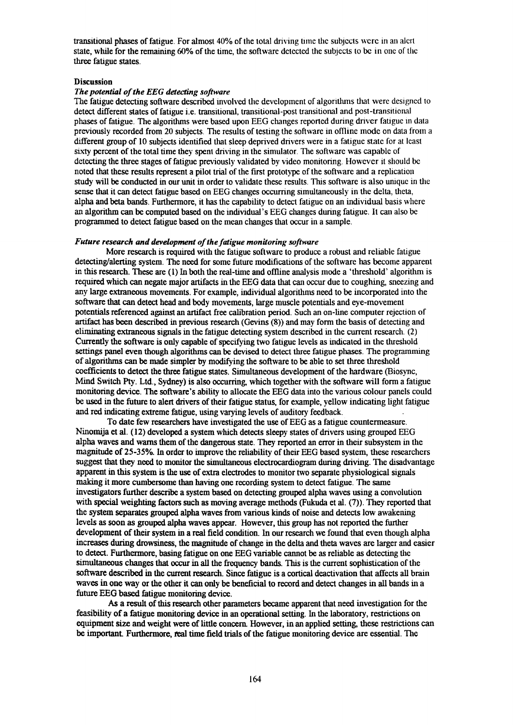transitional phases of fatigue. For almost 40% of the total driving time the subjects were in an alert state, while for the remaining 60% of the time, the software detected the subjects to be in one of the three fatigue states.

#### **Discussion**

# *The potential of the EEG detecting software*

The fatigue detecting software described involved the development of algorithms that were designed to detect different states of fatigue i.e. transitional, transitional-post transitional and post-transitional phases of fatigue. The algorithms were based upon EEG changes reported during driver fatigue in data previously recorded from 20 subjects. TIle results of testing the software in offline mode on data from a different group of 10 subjects identified that sleep deprived drivers were in a fatigue state for at least sixty percent of the total time they spent driving in the simulator. The software was capable of detecting the three stages of fatigue previously validated by video monitoring. However it should be noted that these results represent a pilot trial of the first prototype of the software and a replication study will be conducted in our unit in order to validate these results. This software is also unique in the sense that it can detect fatigue based on EEG changes occurring simultaneously in the delta, theta, alpha and beta bands. Furthermore, it has the capability to detect fatigue on an individual basis where an algorithm can be computed based on the individual's EEG changes during fatigue. It can also be programmed to detect fatigue based on the mean changes that occur in a sample.

#### *Future research and development of the fatigue monitoring software*

More research is required with the fatigue software to produce a robust and reliable fatigue detecting/alerting system. The need for some future modifications of the software has become apparent in this research. These are (1) In both the real-time and offline analysis mode a 'threshold' algorithm is required which can negate major artifacts in the EEG data that can occur due to coughing, sneezing and any large extraneous movements. For example, individual algorithms need to be incorporated into the software that can detect head and body movements, large muscle potentials and eye-movement potentials referenced against an artifact free calibration period. Such an on-line computer rejection of artifact has been described in previous research (Gevins (8)) and may form the basis of detecting and eliminating extraneous signals in the fatigue detecting system described in the current research. (2) Currently the software is only capable of specifying two fatigue levels as indicated in the threshold settings panel even though algorithms can be devised to detect three fatigue phases. The programming of algorithms can be made simpler by modifying the software to be able to set three threshold coefficients to detect the three fatigue states. Simultaneous development of the hardware (Biosync, Mind Switch Ply. Ltd., Sydney) is also occurring, which together with the software will form a fatigue monitoring device. The software's ability to allocate the EEG data into the various colour panels could be used in the future to alert drivers of their fatigue status, for example, yellow indicating light fatigue and red indicating extreme fatigue, using varying levels of auditory feedback.

To date few researchers have investigated the use of EEG as a fatigue countermeasure. Ninomija et al. (12) developed a system which detects sleepy states of drivers using grouped EEG alpha waves and warns them of the dangerous state. They reported an error in their subsystem in the magnitude of 25-35%. In order to improve the reliability of their EEG based system, these researchers suggest that they need to monitor the simultaneous electrocardiogram during driving. The disadvantage apparent in this system is the use of extra electrodes to monitor two separate physiological signals making it more cumbersome than having one recording system to detect fatigue. The same investigators further describe a system based on detecting grouped alpha waves using a convolution with special weighting factors such as moving average methods (Fukuda et al. (7)). They reported that the system separates grouped alpha waves from various kinds of noise and detects low awakening levels as soon as grouped alpha waves appear. However, this group has not reported the further development of their system in a real field condition. In our research we found that even though alpha increases during drowsiness, the magnitude of change in the delta and theta waves are larger and easier to detect. Furthermore, basing fatigue on one EEG variable cannot be as reliable as detecting the simultaneous changes that occur in all the frequency bands. This is the current sophistication of the software described in the current research. Since fatigue is a cortical deactivation that affects all brain waves in one way or the other it can only be beneficial to record and detect changes in all bands in a future EEG based fatigue monitoring device.

*As* a result of this research other parameters became apparent that need investigation for the feasibility of a fatigue monitoring device in an operational setting. In the laboratory, restrictions on equipment size and weight were of little concem However, in an applied setting, these restrictions can be important. Furthermore, real time field trials of the fatigue monitoring device are essential. The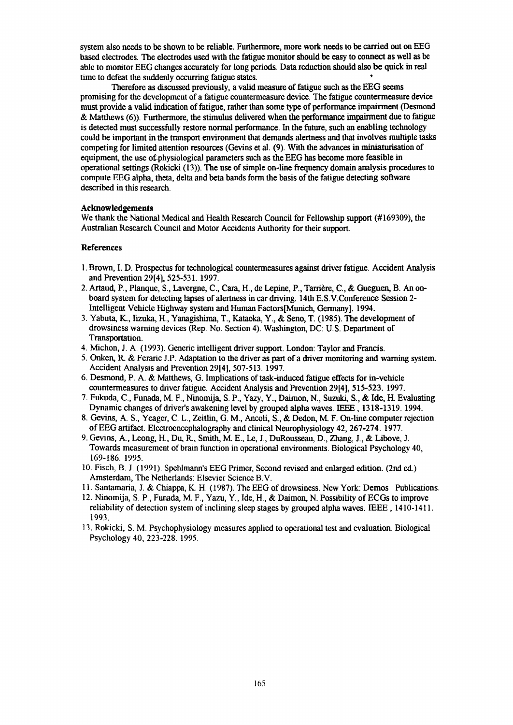system also needs to be shown to be reliable. Furthermore, more work needs to be carried out on EEG based electrodes. The electrodes used with the fatigue monitor should be easy to connect as well as be able to monitor EEG changes accurately for long periods. Data reduction should also be quick in real time to defeat the suddenly occurring fatigue states.

Therefore as discussed previously, a valid measure of fatigue such as the EEG seems promising for the development of a fatigue countermeasure device. The fatigue countermeasure device must provide a valid indication of fatigue, rather than some type of performance impairment (Desmond  $\&$  Matthews (6)). Furthermore, the stimulus delivered when the performance impairment due to fatigue is detected must successfully restore normal performance. In the future, such an enabling technology could be important in the transport environment that demands alertness and that involves multiple tasks competing for limited attention resources (Gevins et al. (9). With the advances in miniaturisation of equipment, the use of-physiological parameters such as the EEG has become more feasible in operational settings (Rokicki (13». The use of simple on-line frequency domain analysis procedures to compute EEG alpha, theta, delta and beta bands form the basis of the fatigue detecting software described in this research.

#### Acknowledgements

We thank the National Medical and Health Research Council for Fellowship support (#169309), the Australian Research Council and Motor Accidents Authority for their support.

## References

- 1.Brown, I. D. Prospectus for technological countermeasures against driver fatigue. Accident Analysis and Prevention 29[4], 525-531. 1997.
- 2. Artaud, P., Planque, S., Lavergne, C., Cara, H., de Lepine, P., Tarriere, C., & Gueguen, B. An onboard system for detecting lapses of alertness in car driving. 14th E.S.V.Conference Session 2- Intelligent Vehicle Highway system and Human Factors[Munich, Germany]. 1994.
- 3. Yabuta, K., Iizuka, H., Yanagishima, T., Kataoka, Y., & Seno, T. (1985). The development of drowsiness warning devices (Rep. No. Section 4). Washington, DC: U.S. Department of Transportation.
- 4. Michon, J. A. (1993). Generic intelligent driver support. London: Taylor and Francis.
- 5. Onken, R. & Feraric J.P. Adaptation to the driver as part of a driver monitoring and warning system. Accident Analysis and Prevention 29[4], 507-513. 1997.
- 6. Desmond, P. A. & Matthews, G. Implications of task-induced fatigue effects for in-vehicle countermeasures to driver fatigue. Accident Analysis and Prevention 29[4], 515-523. 1997.
- 7. Fukuda, c, Funada, M. F., Ninomija, S. P., Yazy, Y., Daimon, N., Suzuki, S., & Ide, H. Evaluating Dynamic changes of driver's awakening level by grouped alpha waves. IEEE , 1318-1319. 1994.
- 8. Gevins, A S., Yeager, C. L., Zeitlin, G. M., Ancoli, S., & Dedon, M F. On-line computer rejection ofEEG artifact. Electroencephalography and clinical Neurophysiology 42,267-274. 1977.
- 9. Gevins, A, Leong, H., Du, R, Smith, ME., Le, 1., DuRousseau, D., Zhang, 1., & Libove, J. Towards measurement of brain function in operational environments. Biological Psychology 40, 169-186. 1995.
- 10. Fisch, B. 1. (1991). Spehlmann's EEG Primer, Second revised and enlarged edition. (2nd ed.) Amsterdam, The Netherlands: Elsevier Science B.V.
- II. Santamaria, J. & Chiappa, K. H. (1987). The EEG of drowsiness. New York: Demos Publications.
- 12. Ninomija, S. P., Funada, M. F., Yazu, Y., Ide, H., & Daimon, N. Possibility of ECGs to improve reliability of detection system of inclining sleep stages by grouped alpha waves. IEEE , 1410-1411. 1993.
- 13. Rokicki, S. M. Psychophysiology measures applied to operational test and evaluation. Biological Psychology 40, 223-228. 1995.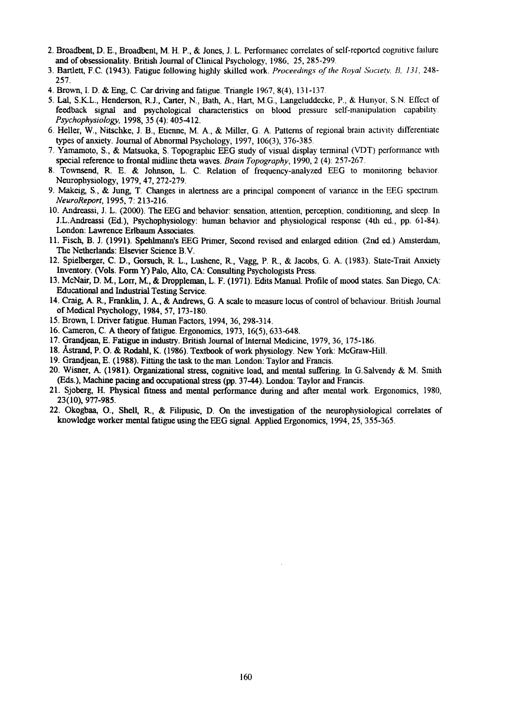- 2. Broadbent, D. E., Broadbent, M. H. P., & Jones, 1. L. Perfonnanec correlates of self-reported cognitive failure and of obsessionality. British Journal of Clinical Psychology, 1986, 25, 285-299.
- 3. Bartlett, F.e. (1943). Fatigue following highly skilled work. *Proceedings of the Royal Society. B, 131,248-* 257.
- 4. Brown, I. D. & Eng. C. Car driving and fatigue. Triangle  $1967, 8(4)$ ,  $131-137$ .
- 5. Lat, S.K.L., Henderson, R.1., Carter, N., Bath, A, Hart, M.G., Langeluddecke, P., & Hunyor, S.N. Effect of feedback signal and psychological characteristics on blood pressure self-manipulation capability. *Psychophysiology.* 1998,35 (4): 405-412.
- 6. Heller, w., Nitschke, 1. B., Etienne, M. A., & Miller, G. A. Patterns of regional brain activity differentiate types of anxiety. Journal of Abnormal Psychology, 1997, 106(3), 376-385.
- 7. Yamamoto, S., & Matsuoka, S. Topographic EEG study of visual display terminal (VDT) performance with special reference to frontal midline theta waves. *Brain Topography*, 1990, 2 (4): 257-267.
- 8. Townsend, R. E. & Johnson, L. C. Relation of frequency-analyzed EEG to monitoring behavior. Neurophysiology, 1979,47,272-279.
- 9. Makeig, S., & Jung, T. Changes in alertness are a principal component of variance in the EEG spectrum. *NeuroReport,* 1995, 7: 213-216.
- 10. Andreassi, 1. L. (2000). The EEG and behavior: sensation, attention, perception, conditioning, and sleep. 10 J.L.Andreassi (Ed.), Psychophysiology: human behavior and physiological response (4th ed., pp. 61-84). London: Lawrence Erlbaum Associates.
- 11. Fisch, B, 1. (1991). Spehlmann's EEG Primer, Second revised and enlarged edition. (2nd ed.) Amsterdam, The Netherlands: Elsevier Science B.V.
- 12. Spielberger, C. D., Gorsuch, R. L., Lushene, R, Vagg, P. R., & Jacobs, G. A. (1983). State-Trait Anxiety Inventory. (Vols. Form Y) Palo, Alto, CA: Consulting Psychologists Press.
- 13.McNair, D. M, Lorr, M, & Droppleman, L. F. (1971). Edits Manual. Profile of mood states. San Diego, CA: Educational and Industrial Testing Service.
- 14. Craig, A R, Franklin, 1. A, & Andrews, G. A scale to measure locus of control of behaviour. British Journal of Medical Psychology, 1984,57,173-180.
- 15. Brown, 1. Driver fatigue. Human Factors, 1994,36,298-314.
- 16. Cameron, C. A theory of fatigue. Ergonomics, 1973, 16(5), 633-648.
- 17. Grandjean, E. Fatigue in industry. British Journal of Internal Medicine, 1979,36, 175-186.
- 18. Astrand, P. O. & Rodahl, K. (1986). Textbook of work physiology. New York: McGraw-Hill.
- 19. Grandjean, E. (1988). Fitting the task to the man. London: Taylor and Francis.
- 20. Wisner, A (1981). Organizational stress, cognitive load, and mental suffering. In G.Salvendy & M. Smith (Eds.), Machine pacing and occupational stress (pp. 37-44). London: Taylor and Francis.
- 21. Sjoberg, H. Physical fitness and mental performance during and after mental work. Ergonomics, 1980, 23(10),977-985.
- 22. Okogbaa, 0., Shell. R, & Filipusic, D, On the investigation of the neurophysiological correlates of knowledge worker mental fatigue using the EEG signal. Applied Ergonomics, 1994,25,355-365.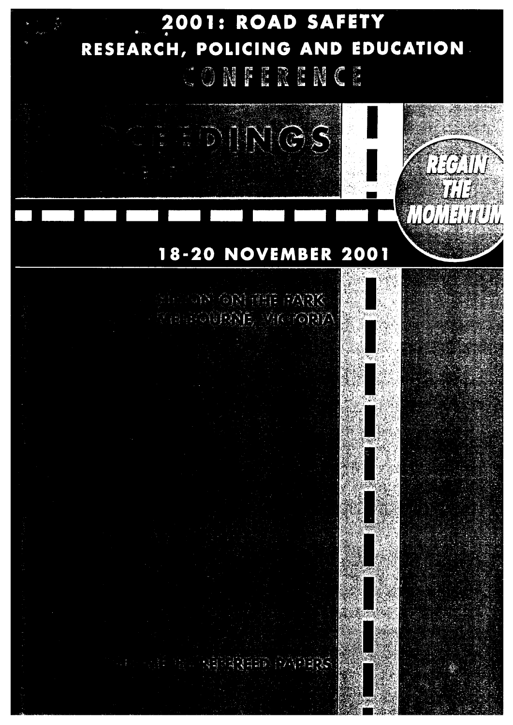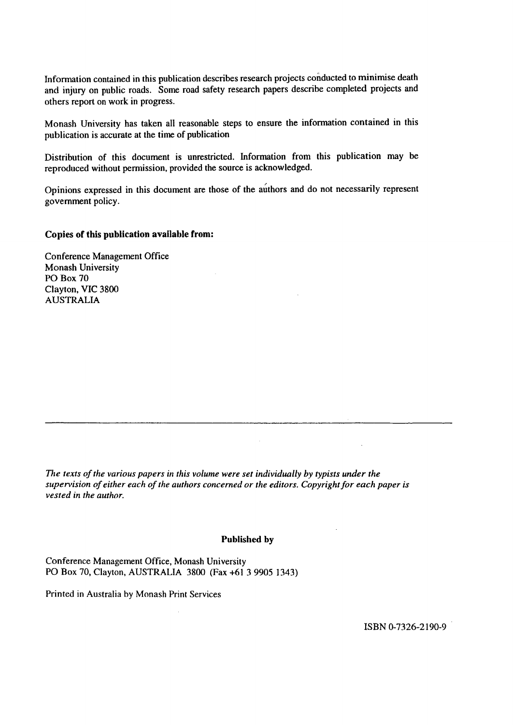Information contained in this publication describes research projects conducted to minimise death and injury on public roads. Some road safety research papers describe completed projects and others report on work in progress.

Monash University has taken all reasonable steps to ensure the information contained in this publication is accurate at the time of publication

Distribution of this document is unrestricted. Information from this publication may be reproduced without permission, provided the source is acknowledged.

Opinions expressed in this document are those of the authors and do not necessarily represent government policy.

# Copies of this publication available from:

Conference Management Office Monash University PO Box 70 Clayton, VIC 3800 AUSTRALIA

*The texts of the various papers in this volume were set individually by typists under the supervision of either each of the authors concerned or the editors. Copyright for each paper is vested in the author.*

## Published by

Conference Management Office, Monash University PO Box 70, Clayton, AUSTRALIA 3800 (Fax +61 3 9905 1343)

Printed in Australia by Monash Print Services

ISBN 0-7326-2190-9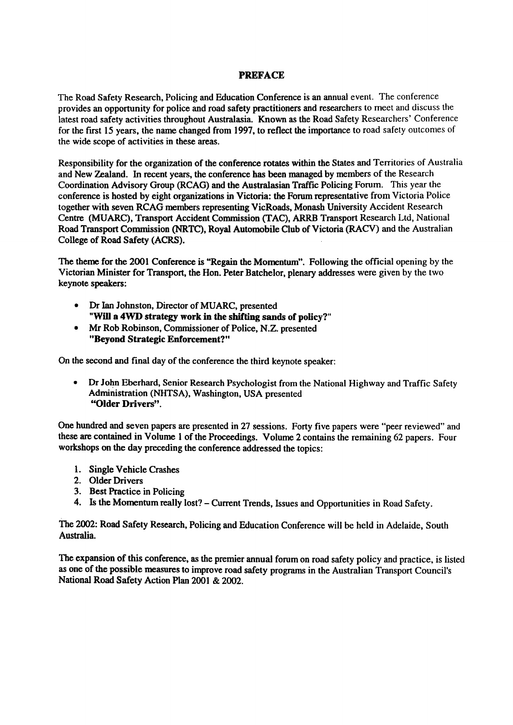# PREFACE

The Road Safety Research, Policing and Education Conference is an annual event. The conference provides an opportunity for police and road safety practitioners and researchers to meet and discuss the latest road safety activities throughout Australasia. Known as the Road Safety Researchers' Conference for the first 15 years, the name changed from 1997, to reflect the importance to road safety outcomes of the wide scope of activities in these areas.

Responsibility for the organization of the conference rotates within the States and Territories of Australia and New Zealand. In recent years, the conference has been managed by members of the Research Coordination Advisory Group (RCAG) and the Australasian Traffic Policing Forum. This year the conference is hosted by eight organizations in Victoria: the Forum representative from Victoria Police together with seven RCAG members representing VicRoads, Monash University Accident Research Centre (MUARC), Transport Accident Commission (TAC), ARRB Transport Research Ltd, National Road Transport Commission (NRTC), Royal Automobile Club of Victoria (RACY) and the Australian College of Road Safety (ACRS).

The theme for the 2001 Conference is "Regain the Momentum". Following the official opening by the Victorian Minister for Transport, the Hon. Peter Batchelor, plenary addresses were given by the two keynote speakers:

- Dr Ian Johnston, Director of MUARC, presented "Will a 4WD strategy work in the shifting sands of policy?"
- Mr Rob Robinson, Commissioner of Police, N.Z. presented "Beyond Strategic Enforcement?"

On the second and final day of the conference the third keynote speaker:

• Dr John Eberhard, Senior Research Psychologist from the National Highway and Traffic Safety Administration (NHTSA), Washington, USA presented "Older Drivers".

One hundred and seven papers are presented in 27 sessions. Forty five papers were "peer reviewed" and these are contained in Volume I of the Proceedings. Volume 2 contains the remaining 62 papers. Four workshops on the day preceding the conference addressed the topics:

- 1. Single Vehicle Crashes
- 2. Older Drivers
- 3. Best Practice in Policing
- 4. Is the Momentum really lost? Current Trends, Issues and Opportunities in Road Safety.

The 2002: Road Safety Research, Policing and Education Conference will be held in Adelaide, South Australia.

The expansion of this conference, as the premier annual forum on road safety policy and practice, is listed as one of the possible measures to improve road safety programs in the Australian Transport Council's National Road Safety Action Plan 2001 & 2002.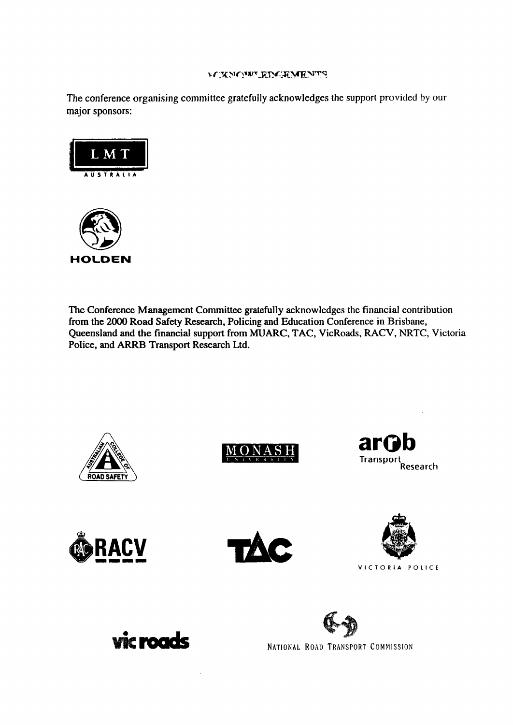# $\mathcal{N}$  XNONT RDCRMENTS

The conference organising committee gratefully acknowledges the support provided by our major sponsors:



The Conference Management Committee gratefully acknowledges the financial contribution from the 2000 Road Safety Research, Policing and Education Conference in Brisbane, Queensland and the financial support from MUARC, TAC, VicRoads, RACV, NRTC, Victoria Police, and ARRB Transport Research Ltd.